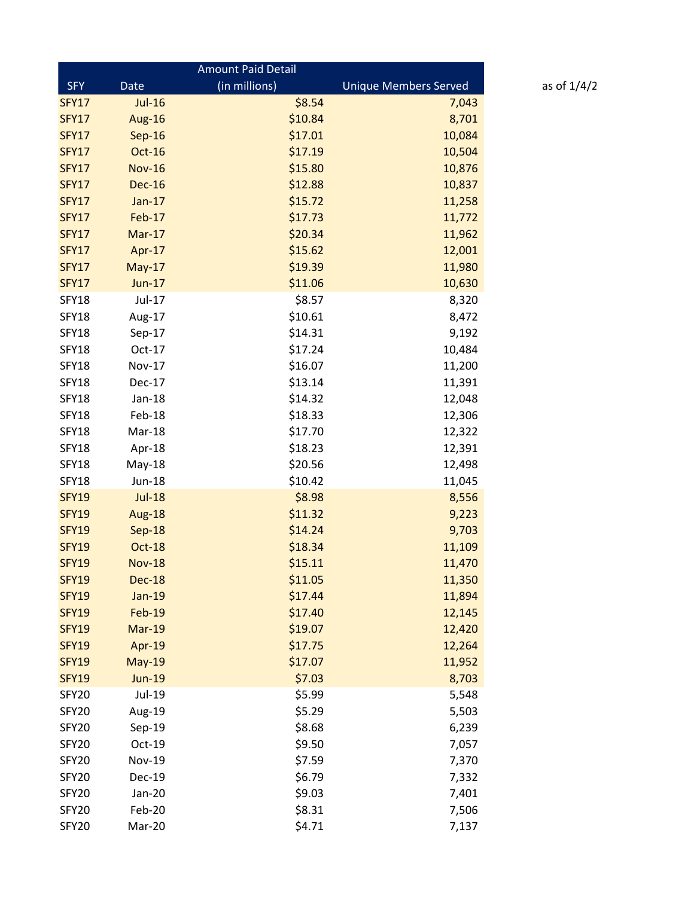| <b>Amount Paid Detail</b> |               |               |                              |  |  |
|---------------------------|---------------|---------------|------------------------------|--|--|
| <b>SFY</b>                | Date          | (in millions) | <b>Unique Members Served</b> |  |  |
| <b>SFY17</b>              | <b>Jul-16</b> | \$8.54        | 7,043                        |  |  |
| <b>SFY17</b>              | Aug-16        | \$10.84       | 8,701                        |  |  |
| <b>SFY17</b>              | Sep-16        | \$17.01       | 10,084                       |  |  |
| <b>SFY17</b>              | Oct-16        | \$17.19       | 10,504                       |  |  |
| <b>SFY17</b>              | <b>Nov-16</b> | \$15.80       | 10,876                       |  |  |
| <b>SFY17</b>              | <b>Dec-16</b> | \$12.88       | 10,837                       |  |  |
| <b>SFY17</b>              | Jan-17        | \$15.72       | 11,258                       |  |  |
| <b>SFY17</b>              | <b>Feb-17</b> | \$17.73       | 11,772                       |  |  |
| <b>SFY17</b>              | $Mar-17$      | \$20.34       | 11,962                       |  |  |
| <b>SFY17</b>              | Apr-17        | \$15.62       | 12,001                       |  |  |
| <b>SFY17</b>              | $May-17$      | \$19.39       | 11,980                       |  |  |
| <b>SFY17</b>              | <b>Jun-17</b> | \$11.06       | 10,630                       |  |  |
| <b>SFY18</b>              | Jul-17        | \$8.57        | 8,320                        |  |  |
| <b>SFY18</b>              | Aug-17        | \$10.61       | 8,472                        |  |  |
| <b>SFY18</b>              | Sep-17        | \$14.31       | 9,192                        |  |  |
| <b>SFY18</b>              | Oct-17        | \$17.24       | 10,484                       |  |  |
| <b>SFY18</b>              | <b>Nov-17</b> | \$16.07       | 11,200                       |  |  |
| <b>SFY18</b>              | Dec-17        | \$13.14       | 11,391                       |  |  |
| <b>SFY18</b>              | Jan-18        | \$14.32       | 12,048                       |  |  |
| <b>SFY18</b>              | Feb-18        | \$18.33       | 12,306                       |  |  |
| <b>SFY18</b>              | Mar-18        | \$17.70       | 12,322                       |  |  |
| <b>SFY18</b>              | Apr-18        | \$18.23       | 12,391                       |  |  |
| SFY18                     | May-18        | \$20.56       | 12,498                       |  |  |
| <b>SFY18</b>              | <b>Jun-18</b> | \$10.42       | 11,045                       |  |  |
| <b>SFY19</b>              | <b>Jul-18</b> | \$8.98        | 8,556                        |  |  |
| <b>SFY19</b>              | Aug-18        | \$11.32       | 9,223                        |  |  |
| <b>SFY19</b>              | Sep-18        | \$14.24       | 9,703                        |  |  |
| <b>SFY19</b>              | Oct-18        | \$18.34       | 11,109                       |  |  |
| <b>SFY19</b>              | <b>Nov-18</b> | \$15.11       | 11,470                       |  |  |
| <b>SFY19</b>              | <b>Dec-18</b> | \$11.05       | 11,350                       |  |  |
| <b>SFY19</b>              | <b>Jan-19</b> | \$17.44       | 11,894                       |  |  |
| <b>SFY19</b>              | <b>Feb-19</b> | \$17.40       | 12,145                       |  |  |
| <b>SFY19</b>              | <b>Mar-19</b> | \$19.07       | 12,420                       |  |  |
| <b>SFY19</b>              | Apr-19        | \$17.75       | 12,264                       |  |  |
| <b>SFY19</b>              | <b>May-19</b> | \$17.07       | 11,952                       |  |  |
| <b>SFY19</b>              | <b>Jun-19</b> | \$7.03        | 8,703                        |  |  |
| SFY20                     | Jul-19        | \$5.99        | 5,548                        |  |  |
| SFY20                     | Aug-19        | \$5.29        | 5,503                        |  |  |
| SFY20                     | Sep-19        | \$8.68        | 6,239                        |  |  |
| SFY20                     | Oct-19        | \$9.50        | 7,057                        |  |  |
| SFY20                     | <b>Nov-19</b> | \$7.59        | 7,370                        |  |  |
| SFY20                     | <b>Dec-19</b> | \$6.79        | 7,332                        |  |  |
| SFY20                     | Jan-20        | \$9.03        | 7,401                        |  |  |
| SFY20                     | Feb-20        | \$8.31        | 7,506                        |  |  |
| SFY20                     | Mar-20        | \$4.71        | 7,137                        |  |  |

as of  $1/4/2$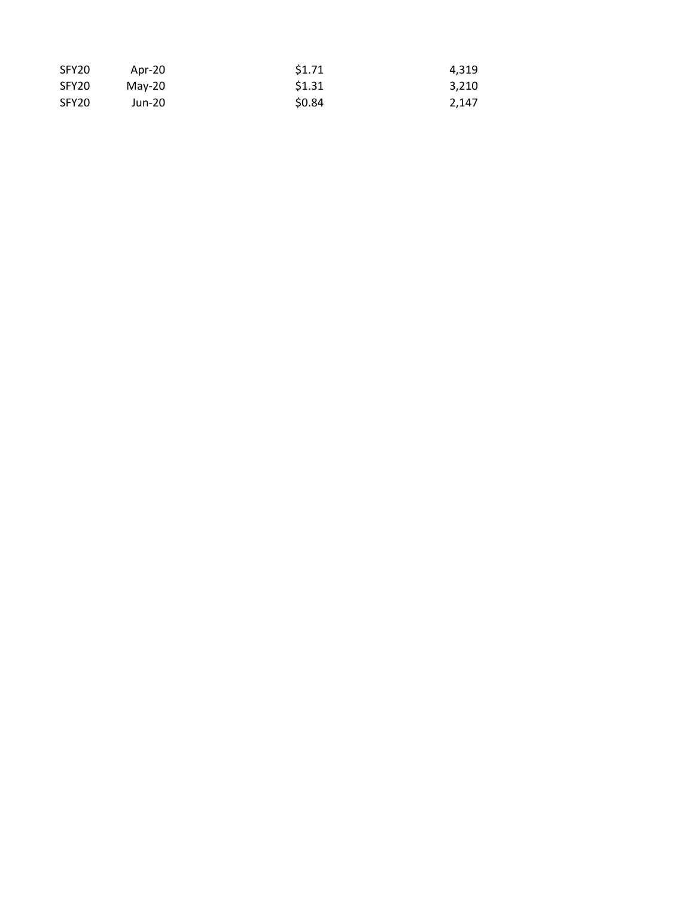| SFY20 | Apr-20 | \$1.71 | 4.319 |
|-------|--------|--------|-------|
| SFY20 | Mav-20 | \$1.31 | 3.210 |
| SFY20 | Jun-20 | \$0.84 | 2.147 |